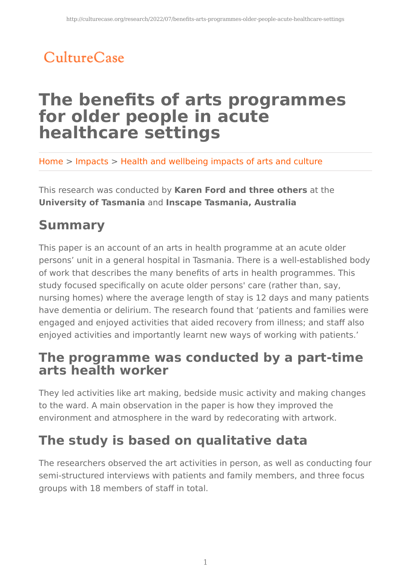# CultureCase

# **The benefits of arts programmes for older people in acute healthcare settings**

Home > Impacts > Health and wellbeing impacts of arts and culture

This research was conducted by **Karen Ford and three others** at the **University of Tasmania** and **Inscape Tasmania, Australia**

## **Summary**

This paper is an account of an arts in health programme at an acute older persons' unit in a general hospital in Tasmania. There is a well-established body of work that describes the many benefits of arts in health programmes. This study focused specifically on acute older persons' care (rather than, say, nursing homes) where the average length of stay is 12 days and many patients have dementia or delirium. The research found that 'patients and families were engaged and enjoyed activities that aided recovery from illness; and staff also enjoyed activities and importantly learnt new ways of working with patients.'

### **The programme was conducted by a part-time arts health worker**

They led activities like art making, bedside music activity and making changes to the ward. A main observation in the paper is how they improved the environment and atmosphere in the ward by redecorating with artwork.

## **The study is based on qualitative data**

The researchers observed the art activities in person, as well as conducting four semi-structured interviews with patients and family members, and three focus groups with 18 members of staff in total.